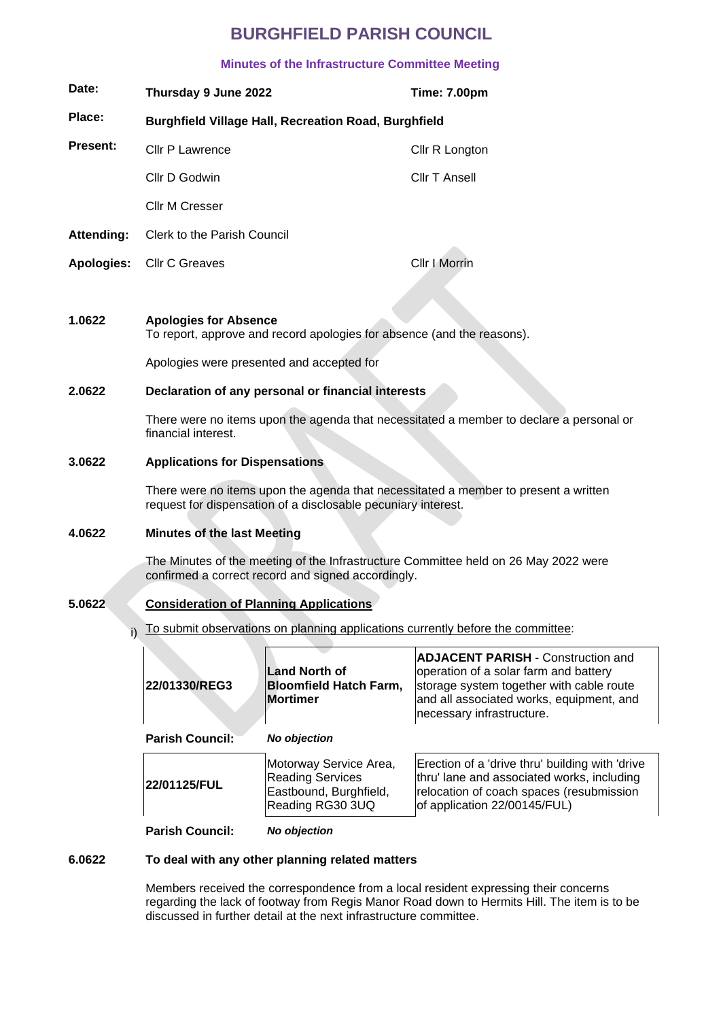# **BURGHFIELD PARISH COUNCIL**

# **Minutes of the Infrastructure Committee Meeting**

| Date:           | Thursday 9 June 2022                                        | <b>Time: 7.00pm</b> |  |
|-----------------|-------------------------------------------------------------|---------------------|--|
| Place:          | <b>Burghfield Village Hall, Recreation Road, Burghfield</b> |                     |  |
| <b>Present:</b> | Cllr P Lawrence                                             | Cllr R Longton      |  |
|                 | Cllr D Godwin                                               | Cllr T Ansell       |  |
|                 | Cllr M Cresser                                              |                     |  |
| Attending:      | Clerk to the Parish Council                                 |                     |  |
|                 | Apologies: Cllr C Greaves                                   | Cllr I Morrin       |  |
|                 |                                                             |                     |  |

#### **1.0622 Apologies for Absence**

To report, approve and record apologies for absence (and the reasons).

Apologies were presented and accepted for

### **2.0622 Declaration of any personal or financial interests**

There were no items upon the agenda that necessitated a member to declare a personal or financial interest.

### **3.0622 Applications for Dispensations**

There were no items upon the agenda that necessitated a member to present a written request for dispensation of a disclosable pecuniary interest.

#### **4.0622 Minutes of the last Meeting**

The Minutes of the meeting of the Infrastructure Committee held on 26 May 2022 were confirmed a correct record and signed accordingly.

# **5.0622 Consideration of Planning Applications**

i) To submit observations on planning applications currently before the committee:

| 22/01330/REG3          | Land North of<br><b>Bloomfield Hatch Farm,</b><br><b>Mortimer</b>                               | <b>ADJACENT PARISH - Construction and</b><br>operation of a solar farm and battery<br>storage system together with cable route<br>and all associated works, equipment, and<br>necessary infrastructure. |
|------------------------|-------------------------------------------------------------------------------------------------|---------------------------------------------------------------------------------------------------------------------------------------------------------------------------------------------------------|
| Parish Council:        | <b>No objection</b>                                                                             |                                                                                                                                                                                                         |
| 22/01125/FUL           | Motorway Service Area,<br><b>Reading Services</b><br>Eastbound, Burghfield,<br>Reading RG30 3UQ | Erection of a 'drive thru' building with 'drive<br>thru' lane and associated works, including<br>relocation of coach spaces (resubmission<br>of application 22/00145/FUL)                               |
| <b>Parish Council:</b> | <b>No objection</b>                                                                             |                                                                                                                                                                                                         |

# **6.0622 To deal with any other planning related matters**

Members received the correspondence from a local resident expressing their concerns regarding the lack of footway from Regis Manor Road down to Hermits Hill. The item is to be discussed in further detail at the next infrastructure committee.